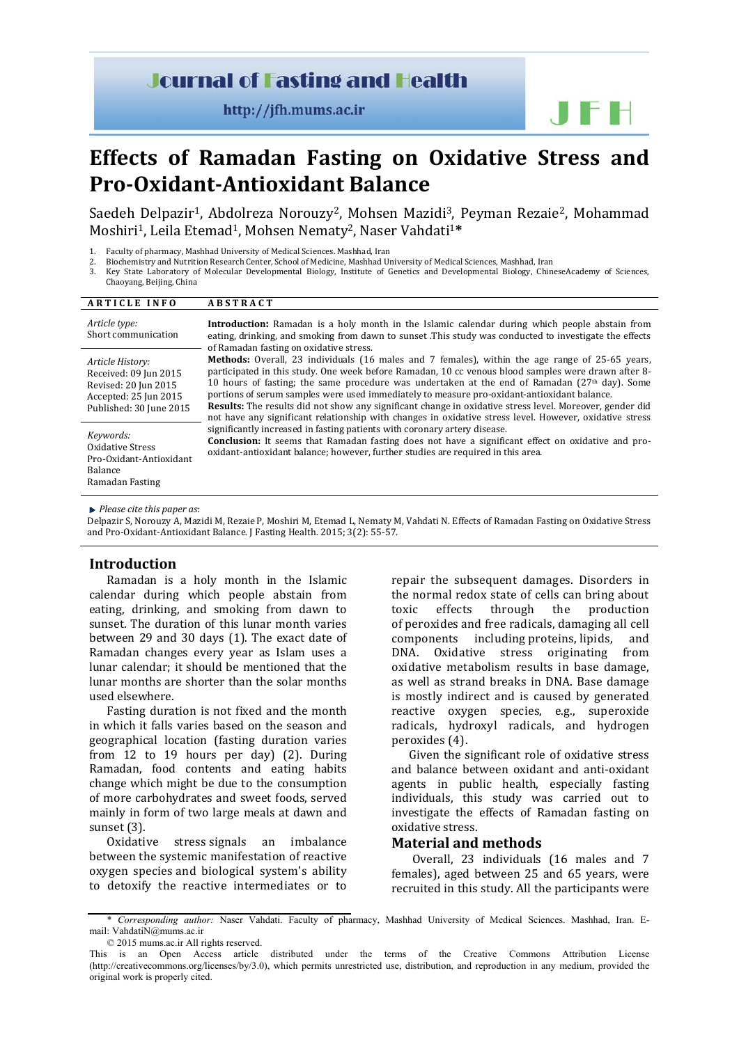# **Journal of Fasting and Health**

http://jfh.mums.ac.ir

# **Effects of Ramadan Fasting on Oxidative Stress and Pro-Oxidant-Antioxidant Balance**

Saedeh Delpazir<sup>1</sup>, Abdolreza Norouzy<sup>2</sup>, Mohsen Mazidi<sup>3</sup>, Peyman Rezaie<sup>2</sup>, Mohammad Moshiri1, Leila Etemad1, Mohsen Nematy2, Naser Vahdati1**\***

- 1. Faculty of pharmacy, Mashhad University of Medical Sciences. Mashhad, Iran<br>2. Biochemistry and Nutrition Research Center, School of Medicine, Mashhad Ur
- 2. Biochemistry and Nutrition Research Center, School of Medicine, Mashhad University of Medical Sciences, Mashhad, Iran 3. Key State Laboratory of Molecular Developmental Biology Chin
- 3. Key State Laboratory of Molecular Developmental Biology, Institute of Genetics and Developmental Biology, ChineseAcademy of Sciences,
- Chaoyang, Beijing, China

| <b>ARTICLE INFO</b>                                                                                                   | <b>ABSTRACT</b>                                                                                                                                                                                                                                                                                                                                                                                                                                                                                                                                                                                                                               |  |  |  |
|-----------------------------------------------------------------------------------------------------------------------|-----------------------------------------------------------------------------------------------------------------------------------------------------------------------------------------------------------------------------------------------------------------------------------------------------------------------------------------------------------------------------------------------------------------------------------------------------------------------------------------------------------------------------------------------------------------------------------------------------------------------------------------------|--|--|--|
| Article type:<br>Short communication                                                                                  | <b>Introduction:</b> Ramadan is a holy month in the Islamic calendar during which people abstain from<br>eating, drinking, and smoking from dawn to sunset. This study was conducted to investigate the effects<br>of Ramadan fasting on oxidative stress.                                                                                                                                                                                                                                                                                                                                                                                    |  |  |  |
| Article History:<br>Received: 09 Jun 2015<br>Revised: 20 Jun 2015<br>Accepted: 25 Jun 2015<br>Published: 30 June 2015 | <b>Methods:</b> Overall, 23 individuals (16 males and 7 females), within the age range of 25-65 years,<br>participated in this study. One week before Ramadan, 10 cc venous blood samples were drawn after 8-<br>10 hours of fasting; the same procedure was undertaken at the end of Ramadan $(27th$ day). Some<br>portions of serum samples were used immediately to measure pro-oxidant-antioxidant balance.<br><b>Results:</b> The results did not show any significant change in oxidative stress level. Moreover, gender did<br>not have any significant relationship with changes in oxidative stress level. However, oxidative stress |  |  |  |
| Keywords:<br>Oxidative Stress<br>Pro-Oxidant-Antioxidant<br>Balance<br>Ramadan Fasting                                | significantly increased in fasting patients with coronary artery disease.<br><b>Conclusion:</b> It seems that Ramadan fasting does not have a significant effect on oxidative and pro-<br>oxidant-antioxidant balance; however, further studies are required in this area.                                                                                                                                                                                                                                                                                                                                                                    |  |  |  |
| $\mathbb{R}$ Dlagge attathic nanon go                                                                                 |                                                                                                                                                                                                                                                                                                                                                                                                                                                                                                                                                                                                                                               |  |  |  |

*Please cite this paper as*:

Delpazir S, Norouzy A, Mazidi M, Rezaie P, Moshiri M, Etemad L, Nematy M, Vahdati N. Effects of Ramadan Fasting on Oxidative Stress and Pro-Oxidant-Antioxidant Balance. J Fasting Health. 2015; 3(2): 55-57.

## **Introduction**

Ramadan is a holy month in the Islamic calendar during which people abstain from eating, drinking, and smoking from dawn to sunset. The duration of this lunar month varies between 29 and 30 days [\(1\)](#page-2-0). The exact date of Ramadan changes every year as Islam uses a lunar calendar; it should be mentioned that the lunar months are shorter than the solar months used elsewhere.

Fasting duration is not fixed and the month in which it falls varies based on the season and geographical location (fasting duration varies from 12 to 19 hours per day) [\(2\)](#page-2-1). During Ramadan, food contents and eating habits change which might be due to the consumption of more carbohydrates and sweet foods, served mainly in form of two large meals at dawn and sunset [\(3\)](#page-2-2).

Oxidative stress signals an imbalance between the systemic manifestation of [reactive](https://en.wikipedia.org/wiki/Reactive_oxygen_species)  [oxygen species](https://en.wikipedia.org/wiki/Reactive_oxygen_species) and biological system's ability to detoxify the reactive intermediates or to repair the subsequent damages. Disorders in the normal [redox](https://en.wikipedia.org/wiki/Redox) state of cells can bring about<br>toxic effects through the production the production of [peroxides](https://en.wikipedia.org/wiki/Peroxide) and [free radicals,](https://en.wikipedia.org/wiki/Free_radical) damaging all cell components including [proteins](https://en.wikipedia.org/wiki/Protein), [lipids](https://en.wikipedia.org/wiki/Lipid), and [DNA.](https://en.wikipedia.org/wiki/DNA) Oxidative stress originating from oxidative metabolism results in base damage, as well as strand breaks in DNA. Base damage is mostly indirect and is caused by generated reactive oxygen species, e.g., superoxide radicals, hydroxyl radicals, and hydrogen peroxides [\(4\)](#page-2-3).

Given the significant role of oxidative stress and balance between oxidant and anti-oxidant agents in public health, especially fasting individuals, this study was carried out to investigate the effects of Ramadan fasting on oxidative stress.

# **Material and methods**

Overall, 23 individuals (16 males and 7 females), aged between 25 and 65 years, were recruited in this study. All the participants were

<sup>\*</sup> *Corresponding author:* Naser Vahdati. Faculty of pharmacy, Mashhad University of Medical Sciences. Mashhad, Iran. Email: [VahdatiN@mums.ac.ir](mailto:VahdatiN@mums.ac.ir)

<sup>© 2015</sup> mums.ac.ir All rights reserved. This is an Open Access article distributed under the terms of the Creative Commons Attribution License (http://creativecommons.org/licenses/by/3.0), which permits unrestricted use, distribution, and reproduction in any medium, provided the original work is properly cited.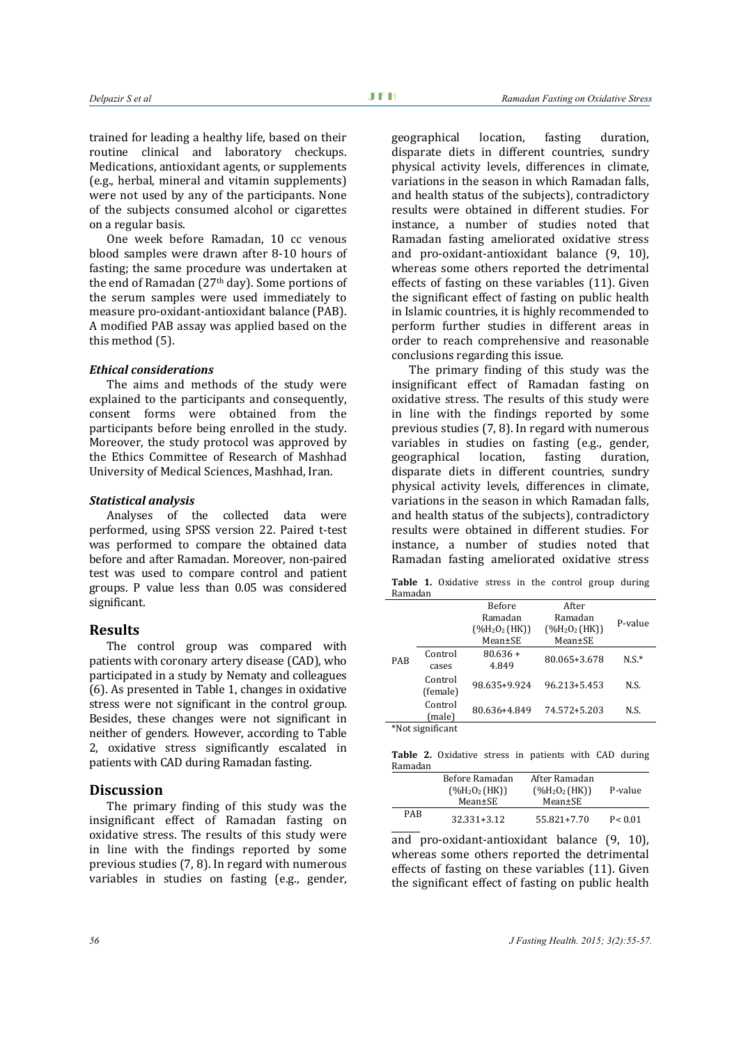trained for leading a healthy life, based on their routine clinical and laboratory checkups. Medications, antioxidant agents, or supplements (e.g., herbal, mineral and vitamin supplements) were not used by any of the participants. None of the subjects consumed alcohol or cigarettes on a regular basis.

One week before Ramadan, 10 cc venous blood samples were drawn after 8-10 hours of fasting; the same procedure was undertaken at the end of Ramadan (27th day). Some portions of the serum samples were used immediately to measure pro-oxidant-antioxidant balance (PAB). A modified PAB assay was applied based on the this method [\(5\)](#page-2-4).

#### *Ethical considerations*

The aims and methods of the study were explained to the participants and consequently, consent forms were obtained from the participants before being enrolled in the study. Moreover, the study protocol was approved by the Ethics Committee of Research of Mashhad University of Medical Sciences, Mashhad, Iran.

#### *Statistical analysis*

Analyses of the collected data were performed, using SPSS version 22. Paired t-test was performed to compare the obtained data before and after Ramadan. Moreover, non-paired test was used to compare control and patient groups. P value less than 0.05 was considered significant.

### **Results**

The control group was compared with patients with coronary artery disease (CAD), who participated in a study by Nematy and colleagues [\(6\)](#page-2-5). As presented in Table 1, changes in oxidative stress were not significant in the control group. Besides, these changes were not significant in neither of genders. However, according to Table 2, oxidative stress significantly escalated in patients with CAD during Ramadan fasting.

#### **Discussion**

The primary finding of this study was the insignificant effect of Ramadan fasting on oxidative stress. The results of this study were in line with the findings reported by some previous studies [\(7,](#page-2-6) [8\)](#page-2-7). In regard with numerous variables in studies on fasting (e.g., gender, geographical location, fasting duration, disparate diets in different countries, sundry physical activity levels, differences in climate, variations in the season in which Ramadan falls, and health status of the subjects), contradictory results were obtained in different studies. For instance, a number of studies noted that Ramadan fasting ameliorated oxidative stress and pro-oxidant-antioxidant balance [\(9,](#page-2-8) [10\)](#page-2-9), whereas some others reported the detrimental effects of fasting on these variables [\(11\)](#page-2-10). Given the significant effect of fasting on public health in Islamic countries, it is highly recommended to perform further studies in different areas in order to reach comprehensive and reasonable conclusions regarding this issue.

The primary finding of this study was the insignificant effect of Ramadan fasting on oxidative stress. The results of this study were in line with the findings reported by some previous studies [\(7,](#page-2-6) [8\)](#page-2-7). In regard with numerous variables in studies on fasting (e.g., gender,<br>geographical location. fasting duration. geographical location, disparate diets in different countries, sundry physical activity levels, differences in climate, variations in the season in which Ramadan falls, and health status of the subjects), contradictory results were obtained in different studies. For instance, a number of studies noted that Ramadan fasting ameliorated oxidative stress

Table 1. Oxidative stress in the control group during Ramadan

|            |                     | <b>Before</b>                            | After            |         |
|------------|---------------------|------------------------------------------|------------------|---------|
|            |                     | Ramadan                                  | Ramadan          | P-value |
|            |                     | $($ %H <sub>2</sub> O <sub>2</sub> (HK)) | $(\%H_2O_2(HK))$ |         |
|            |                     | Mean±SE                                  | Mean±SE          |         |
| <b>PAB</b> | Control<br>cases    | $80.636 +$<br>4.849                      | 80.065+3.678     | $N.S.*$ |
|            | Control<br>(female) | 98.635+9.924                             | 96.213+5.453     | N.S.    |
|            | Control<br>(male)   | 80.636+4.849                             | 74.572+5.203     | N.S.    |

\*Not significant

**Table 2.** Oxidative stress in patients with CAD during Ramadan

|     | Before Ramadan<br>$($ %H <sub>2</sub> O <sub>2</sub> (HK))<br>Mean±SE | After Ramadan<br>$($ %H <sub>2</sub> O <sub>2</sub> (HK))<br>Mean±SE | P-value  |
|-----|-----------------------------------------------------------------------|----------------------------------------------------------------------|----------|
| PAR | 32.331+3.12                                                           | 55.821+7.70                                                          | P < 0.01 |

and pro-oxidant-antioxidant balance [\(9,](#page-2-8) [10\)](#page-2-9), whereas some others reported the detrimental effects of fasting on these variables [\(11\)](#page-2-10). Given the significant effect of fasting on public health